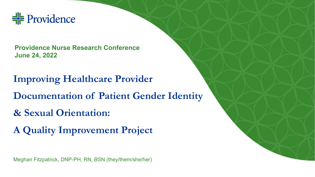

**Providence Nurse Research Conference June 24, 2022**

**Improving Healthcare Provider Documentation of Patient Gender Identity & Sexual Orientation: A Quality Improvement Project**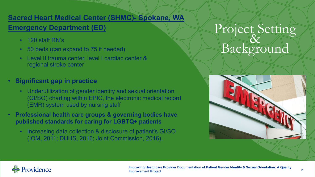#### **Sacred Heart Medical Center (SHMC)- Spokane, WA**

#### **Emergency Department (ED)**

- 120 staff RN's
- 50 beds (can expand to 75 if needed)
- Level II trauma center, level I cardiac center & regional stroke center
- **Significant gap in practice**
	- Underutilization of gender identity and sexual orientation (GI/SO) charting within EPIC, the electronic medical record (EMR) system used by nursing staff
- **Professional health care groups & governing bodies have published standards for caring for LGBTQ+ patients**
	- Increasing data collection & disclosure of patient's GI/SO (IOM, 2011; DHHS, 2016; Joint Commission, 2016).

# Project Setting Background



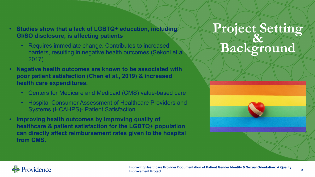- **Studies show that a lack of LGBTQ+ education, including GI/SO disclosure, is affecting patients**
	- Requires immediate change. Contributes to increased barriers, resulting in negative health outcomes (Sekoni et al., 2017).
- **Negative health outcomes are known to be associated with poor patient satisfaction (Chen et al., 2019) & increased health care expenditures.**
	- Centers for Medicare and Medicaid (CMS) value-based care
	- Hospital Consumer Assessment of Healthcare Providers and Systems (HCAHPS)- Patient Satisfaction
- **Improving health outcomes by improving quality of healthcare & patient satisfaction for the LGBTQ+ population can directly affect reimbursement rates given to the hospital from CMS.**

# **Project Setting & Background**

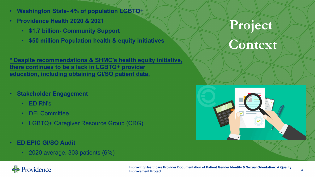- **Washington State- 4% of population LGBTQ+**
- **Providence Health 2020 & 2021**
	- **\$1.7 billion- Community Support**
	- **\$50 million Population health & equity initiatives**

**\* Despite recommendations & SHMC's health equity initiative, there continues to be a lack in LGBTQ+ provider education, including obtaining GI/SO patient data.**

- **Stakeholder Engagement**
	- ED RN's
	- DEI Committee
	- LGBTQ+ Caregiver Resource Group (CRG)
- **ED EPIC GI/SO Audit**
	- 2020 average, 303 patients (6%)

# **Project**

### **Context**



#### $\frac{1}{2}$  Providence

**Improving Healthcare Provider Documentation of Patient Gender Identity & Sexual Orientation: A Quality Improvement Project**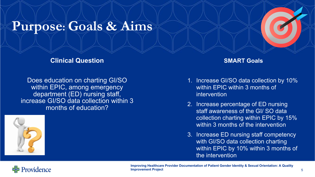### **Purpose: Goals & Aims**

#### **Clinical Question**

Does education on charting GI/SO within EPIC, among emergency department (ED) nursing staff, increase GI/SO data collection within 3 months of education?



#### **SMART Goals**

- 1. Increase GI/SO data collection by 10% within EPIC within 3 months of intervention
- 2. Increase percentage of ED nursing staff awareness of the GI/ SO data collection charting within EPIC by 15% within 3 months of the intervention
- 3. Increase ED nursing staff competency with GI/SO data collection charting within EPIC by 10% within 3 months of the intervention



**Improving Healthcare Provider Documentation of Patient Gender Identity & Sexual Orientation: A Quality Improvement Project** 5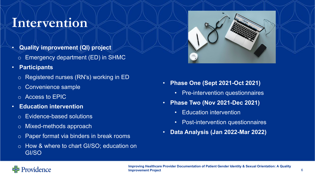### **Intervention**

- **Quality improvement (QI) project**
- o Emergency department (ED) in SHMC
- **Participants**
	- o Registered nurses (RN's) working in ED
	- o Convenience sample
	- o Access to EPIC
- **Education intervention**
	- o Evidence-based solutions
	- o Mixed-methods approach
	- o Paper format via binders in break rooms
	- o How & where to chart GI/SO; education on GI/SO



- **Phase One (Sept 2021-Oct 2021)**
	- Pre-intervention questionnaires
- **Phase Two (Nov 2021-Dec 2021)**
	- Education intervention
	- Post-intervention questionnaires
- **Data Analysis (Jan 2022-Mar 2022)**

### Providence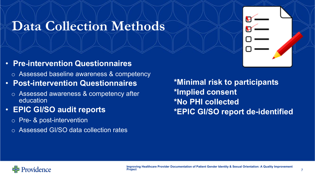## **Data Collection Methods**

- **Pre-intervention Questionnaires**
	- o Assessed baseline awareness & competency
- **Post-intervention Questionnaires**
	- o Assessed awareness & competency after education
- **EPIC GI/SO audit reports**
	- o Pre- & post-intervention
	- o Assessed GI/SO data collection rates

**\*Minimal risk to participants \*Implied consent \*No PHI collected \*EPIC GI/SO report de-identified**

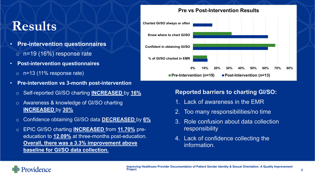### **Results**

- **Pre-intervention questionnaires**  $\circ$  n=19 (16%) response rate
- **Post-intervention questionnaires**
	- $\circ$  n=13 (11% response rate)
- **Pre-intervention vs 3-month post-intervention**
	- o Self-reported GI/SO charting **INCREASED** by **16%**
	- o Awareness & knowledge of GI/SO charting **INCREASED** by **30%**
	- o Confidence obtaining GI/SO data **DECREASED** by **6%**
	- o EPIC GI/SO charting **INCREASED** from **11.70%** preeducation to **12.09%** at three-months post-education. **Overall, there was a 3.3% improvement above baseline for GI/SO data collection.**



#### **Reported barriers to charting GI/SO:**

- 1. Lack of awareness in the EMR
- 2. Too many responsibilities/no time
- 3. Role confusion about data collection responsibility
- 4. Lack of confidence collecting the information.

#### Providence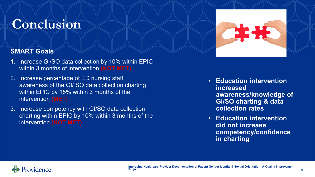### **Conclusion**



#### **SMART Goals**

- 1. Increase GI/SO data collection by 10% within EPIC within 3 months of intervention **(NOT MET)**
- 2. Increase percentage of ED nursing staff awareness of the GI/ SO data collection charting within EPIC by 15% within 3 months of the intervention **(MET)**
- 3. Increase competency with GI/SO data collection charting within EPIC by 10% within 3 months of the intervention **(NOT MET)**
- **Education intervention increased awareness/knowledge of GI/SO charting & data collection rates**
- **Education intervention did not increase competency/confidence in charting**

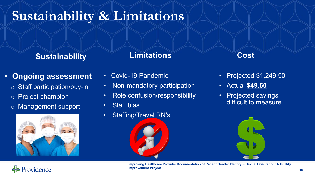# **Sustainability & Limitations**

### **Sustainability**

#### **Limitations**

### • **Ongoing assessment**

- o Staff participation/buy-in
- o Project champion
- o Management support



 $\frac{1}{2}$  Providence

#### • Covid-19 Pandemic

- Non-mandatory participation
- Role confusion/responsibility
- Staff bias
- Staffing/Travel RN's

#### **Cost**

- Projected \$1,249.50
- Actual **\$49.50**
- Projected savings difficult to measure

**Improving Healthcare Provider Documentation of Patient Gender Identity & Sexual Orientation: A Quality Improvement Project** <sup>10</sup>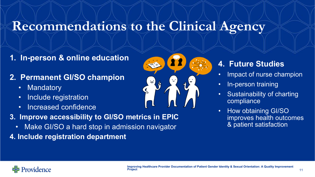## **Recommendations to the Clinical Agency**

- **1. In-person & online education**
- **2. Permanent GI/SO champion**
	- Mandatory
	- Include registration
	- Increased confidence
- **3. Improve accessibility to GI/SO metrics in EPIC**
	- Make GI/SO a hard stop in admission navigator
- **4. Include registration department**



### **4. Future Studies**

- Impact of nurse champion
- In-person training
- Sustainability of charting compliance
- How obtaining GI/SO improves health outcomes & patient satisfaction

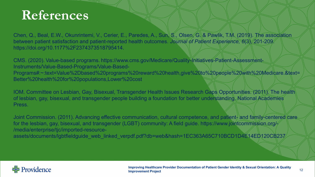### **References**

Chen, Q., Beal, E.W., Okunrintemi, V., Cerier, E., Paredes, A., Sun, S., Olsen, G. & Pawlik, T.M. (2019). The association between patient satisfaction and patient-reported health outcomes. *Journal of Patient Experience, 6*(3), 201-209. https://doi.org/10.1177%2F2374373518795414.

CMS. (2020). Value-based programs. https://www.cms.gov/Medicare/Quality-Initiatives-Patient-Assessment-Instruments/Value-Based-Programs/Value-Based-Programs#:~:text=Value%2Dbased%20programs%20reward%20health,give%20to%20people%20with%20Medicare.&text= Better%20health%20for%20populations,Lower%20cost

IOM. Committee on Lesbian, Gay, Bisexual, Transgender Health Issues Research Gaps Opportunities. (2011). The health of lesbian, gay, bisexual, and transgender people building a foundation for better understanding. National Academies Press.

Joint Commission. (2011). Advancing effective communication, cultural competence, and patient- and family-centered care for the lesbian, gay, bisexual, and transgender (LGBT) community: A field guide. https://www.jointcommission.org/ /media/enterprise/tjc/imported-resourceassets/documents/lgbtfieldguide\_web\_linked\_verpdf.pdf?db=web&hash=1EC363A65C710BCD1D4E14ED120CB237/